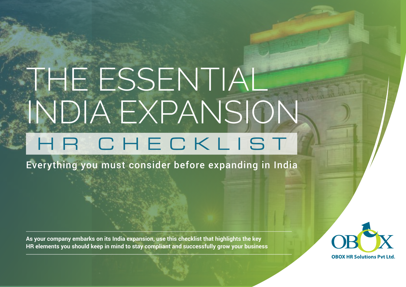# THE ESSENTIAL INDIA EXPANSION HR CHECKLIST

Everything you must consider before expanding in India

**As your company embarks on its India expansion, use this checklist that highlights the key HR elements you should keep in mind to stay compliant and successfully grow your business**

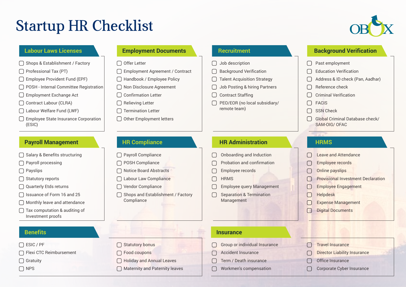# Startup HR Checklist



#### **Labour Laws Licenses**

 $\bigcap$  Shops & Establishment / Factory

 $\bigcap$  Professional Tax (PT)

□ Employee Provident Fund (EPF)

POSH - Internal Committee Registration ∩

 $\Box$ Employment Exchange Act

Contract Labour (CLRA)

Labour Welfare Fund (LWF)

□ Employee State Insurance Corporation (ESIC)

#### **Payroll Management**

 $\bigcap$  Salary & Benefits structuring

□ Payroll processing

 $\bigcap$  Payslips

□ Statutory reports

Quarterly Etds returns

 $\Box$  Issuance of Form 16 and 25

◯ Monthly leave and attendance

 $\bigcap$  Tax computation & auditing of Investment proofs

□ ESIC / PF

□ Flexi CTC Reimbursement

□ Gratuitv

 $\cap$  NPS

#### **Employment Documents**

 $\bigcap$  Offer Letter

Employment Agreement / Contract  $\cap$ 

 $\cap$ Handbook / Employee Policy

- $\Box$ Non Disclosure Agreement
- $\Box$ Confirmation Letter
- $\Box$ Relieving Letter
- $\bigcap$ Termination Letter
- Other Employment letters

#### **Recruitment**

- $\bigcap$  Job description
- Background Verification  $\cap$
- Talent Acquisition Strategy
- Job Posting & hiring Partners
- Contract Staffing
- $\bigcap$ PEO/EOR (no local subsidiary/ remote team)

#### **HR Administration**

- Onboarding and Induction ∩
- $\cap$ Probation and confirmation
- ∩ Employee records

 $\bigcap$ **HRMS** 

- Employee query Management
- $\bigcap$ Separation & Termination Management

#### **Benefits Insurance**

- Group or individual Insurance
- Accident Insurance

Term / Death insurance

Workmen's compensation

### **Background Verification**

∩ Past employment

- Education Verification
- Address & ID check (Pan, Aadhar)
- Reference check
- Criminal Verification
- FACIS
- SSN Check
- Global Criminal Database check/ SAM-OIG/ OFAC

### **HRMS**

- Leave and Attendance
- Employee records
- Online payslips
- Provisional Investment Declaration
- Employee Engagement
- Helpdesk
- Expense Management
- $\Box$ Digital Documents
- Travel Insurance  $\cap$ 
	- Director Liability Insurance
- Office Insurance
- Corporate Cyber Insurance

**HR Compliance**

 $\Box$ 

Vendor Compliance  $\Box$ 

> Statutory bonus Food coupons

 $\sqrt{ }$ 

Holiday and Annual Leaves  $\bigcap$  Maternity and Paternity leaves

 $\bigcap$  Shops and Establishment / Factory Compliance

### Payroll Compliance

 $\cap$ POSH Compliance

 $\bigcap$ Notice Board Abstracts

Labour Law Compliance